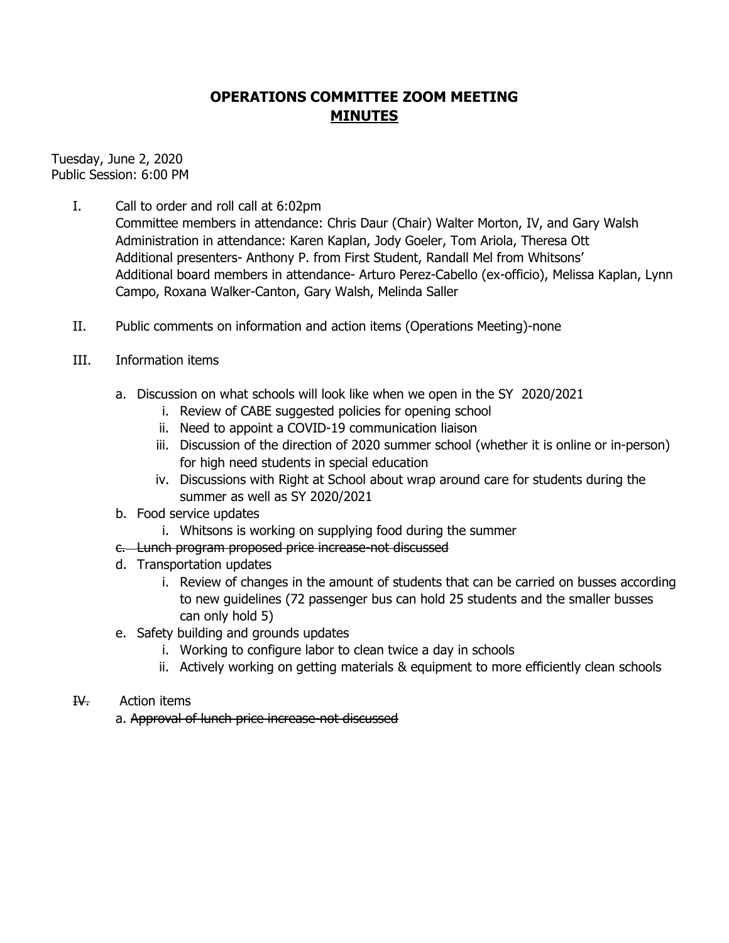## **OPERATIONS COMMITTEE ZOOM MEETING MINUTES**

Tuesday, June 2, 2020 Public Session: 6:00 PM

I. Call to order and roll call at 6:02pm

Committee members in attendance: Chris Daur (Chair) Walter Morton, IV, and Gary Walsh Administration in attendance: Karen Kaplan, Jody Goeler, Tom Ariola, Theresa Ott Additional presenters- Anthony P. from First Student, Randall Mel from Whitsons' Additional board members in attendance- Arturo Perez-Cabello (ex-officio), Melissa Kaplan, Lynn Campo, Roxana Walker-Canton, Gary Walsh, Melinda Saller

- II. Public comments on information and action items (Operations Meeting)-none
- III. Information items
	- a. Discussion on what schools will look like when we open in the SY 2020/2021
		- i. Review of CABE suggested policies for opening school
		- ii. Need to appoint a COVID-19 communication liaison
		- iii. Discussion of the direction of 2020 summer school (whether it is online or in-person) for high need students in special education
		- iv. Discussions with Right at School about wrap around care for students during the summer as well as SY 2020/2021
	- b. Food service updates
		- i. Whitsons is working on supplying food during the summer
	- c. Lunch program proposed price increase-not discussed
	- d. Transportation updates
		- i. Review of changes in the amount of students that can be carried on busses according to new guidelines (72 passenger bus can hold 25 students and the smaller busses can only hold 5)
	- e. Safety building and grounds updates
		- i. Working to configure labor to clean twice a day in schools
		- ii. Actively working on getting materials & equipment to more efficiently clean schools
- IV. Action items

a. Approval of lunch price increase-not discussed